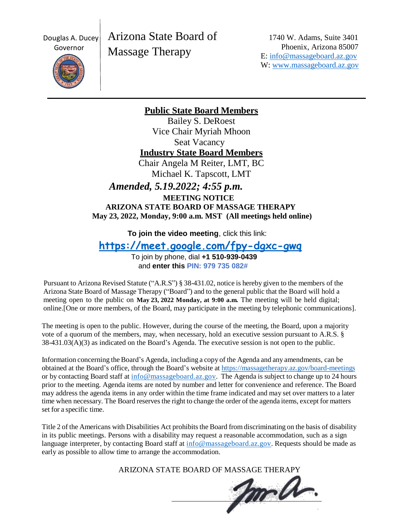Douglas A. Ducey

Arizona State Board of Massage Therapy

1740 W. Adams, Suite 3401 Phoenix, Arizona 85007 E: [info@massageboard.az.gov](mailto:info@massageboard.az.gov) W: [www.massageboard.az.gov](http://www.massageboard.az.gov/)



**Public State Board Members**

Bailey S. DeRoest Vice Chair Myriah Mhoon Seat Vacancy **Industry State Board Members** Chair Angela M Reiter, LMT, BC Michael K. Tapscott, LMT

*Amended, 5.19.2022; 4:55 p.m.*

 **MEETING NOTICE ARIZONA STATE BOARD OF MASSAGE THERAPY May 23, 2022, Monday, 9:00 a.m. MST (All meetings held online)**

**To join the video meeting**, click this link:

**<https://meet.google.com/fpy-dgxc-gwq>**

To join by phone, dial **+1 510-939-0439** and **enter this PIN: 979 735 082#**

Pursuant to Arizona Revised Statute ("A.R.S") § 38-431.02, notice is hereby given to the members of the Arizona State Board of Massage Therapy ("Board") and to the general public that the Board will hold a meeting open to the public on **May 23, 2022 Monday, at 9:00 a.m.** The meeting will be held digital; online.[One or more members, of the Board, may participate in the meeting by telephonic communications].

The meeting is open to the public. However, during the course of the meeting, the Board, upon a majority vote of a quorum of the members, may, when necessary, hold an executive session pursuant to A.R.S. § 38-431.03(A)(3) as indicated on the Board's Agenda. The executive session is not open to the public.

Information concerning the Board's Agenda, including a copy of the Agenda and any amendments, can be obtained at the Board's office, through the Board's website a[t https://massagetherapy.az.gov/board-meetings](https://massagetherapy.az.gov/board-meetings) or by contacting Board staff at [info@massageboard.az.gov.](mailto:info@massageboard.az.gov) The Agenda is subject to change up to 24 hours prior to the meeting. Agenda items are noted by number and letter for convenience and reference. The Board may address the agenda items in any order within the time frame indicated and may set over matters to a later time when necessary. The Board reservesthe right to change the order of the agenda items, except for matters set for a specific time.

Title 2 of the Americans with Disabilities Act prohibits the Board from discriminating on the basis of disability in its public meetings. Persons with a disability may request a reasonable accommodation, such as a sign language interpreter, by contacting Board staff at [info@massageboard.az.gov.](mailto:info@massageboard.az.gov) Requests should be made as early as possible to allow time to arrange the accommodation.

ARIZONA STATE BOARD OF MASSAGE THERAPY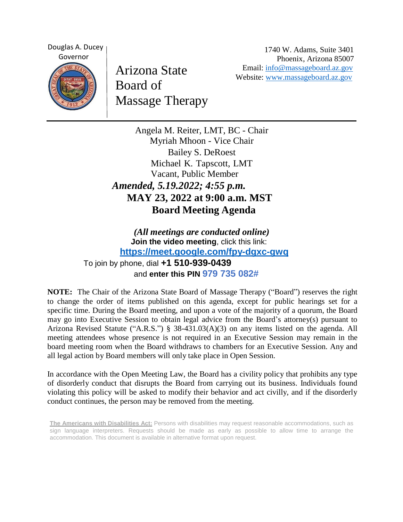Douglas A. Ducey Governor

Arizona State Board of Massage Therapy

1740 W. Adams, Suite 3401 Phoenix, Arizona 85007 Email: [info@massageboard.az.gov](mailto:info@massageboard.az.gov) Website: [www.massageboard.az.gov](http://www.massageboard.az.gov/)

Angela M. Reiter, LMT, BC - Chair Myriah Mhoon - Vice Chair Bailey S. DeRoest Michael K. Tapscott, LMT Vacant, Public Member *Amended, 5.19.2022; 4:55 p.m.*  **MAY 23, 2022 at 9:00 a.m. MST Board Meeting Agenda** 

*(All meetings are conducted online)* **Join the video meeting**, click this link: **<https://meet.google.com/fpy-dgxc-gwq>** To join by phone, dial **+1 510-939-0439** and **enter this PIN 979 735 082#**

**NOTE:** The Chair of the Arizona State Board of Massage Therapy ("Board") reserves the right to change the order of items published on this agenda, except for public hearings set for a specific time. During the Board meeting, and upon a vote of the majority of a quorum, the Board may go into Executive Session to obtain legal advice from the Board's attorney(s) pursuant to Arizona Revised Statute ("A.R.S.") § 38-431.03(A)(3) on any items listed on the agenda. All meeting attendees whose presence is not required in an Executive Session may remain in the board meeting room when the Board withdraws to chambers for an Executive Session. Any and all legal action by Board members will only take place in Open Session.

In accordance with the Open Meeting Law, the Board has a civility policy that prohibits any type of disorderly conduct that disrupts the Board from carrying out its business. Individuals found violating this policy will be asked to modify their behavior and act civilly, and if the disorderly conduct continues, the person may be removed from the meeting.

**The Americans with Disabilities Act:** Persons with disabilities may request reasonable accommodations, such as sign language interpreters. Requests should be made as early as possible to allow time to arrange the accommodation. This document is available in alternative format upon request.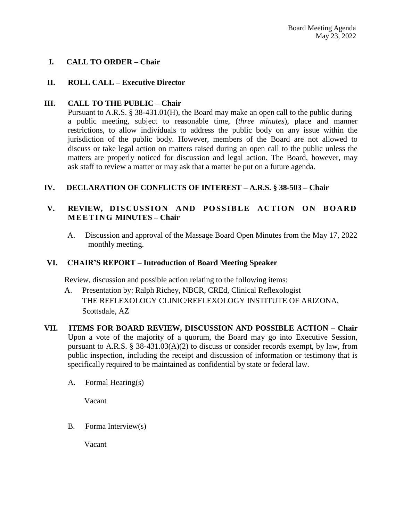# **I. CALL TO ORDER – Chair**

## **II. ROLL CALL – Executive Director**

## **III. CALL TO THE PUBLIC – Chair**

Pursuant to A.R.S. § 38-431.01(H), the Board may make an open call to the public during a public meeting, subject to reasonable time, (*three minutes*), place and manner restrictions, to allow individuals to address the public body on any issue within the jurisdiction of the public body. However, members of the Board are not allowed to discuss or take legal action on matters raised during an open call to the public unless the matters are properly noticed for discussion and legal action. The Board, however, may ask staff to review a matter or may ask that a matter be put on a future agenda.

## **IV. DECLARATION OF CONFLICTS OF INTEREST – A.R.S. § 38-503 – Chair**

## V. REVIEW, DISCUSSION AND POSSIBLE ACTION ON BOARD **M E E T I N G MINUTES – Chair**

A. Discussion and approval of the Massage Board Open Minutes from the May 17, 2022 monthly meeting.

#### **VI. CHAIR'S REPORT – Introduction of Board Meeting Speaker**

Review, discussion and possible action relating to the following items:

- A. Presentation by: Ralph Richey, NBCR, CREd, Clinical Reflexologist THE REFLEXOLOGY CLINIC/REFLEXOLOGY INSTITUTE OF ARIZONA, Scottsdale, AZ
- **VII. ITEMS FOR BOARD REVIEW, DISCUSSION AND POSSIBLE ACTION – Chair**  Upon a vote of the majority of a quorum, the Board may go into Executive Session, pursuant to A.R.S. § 38-431.03(A)(2) to discuss or consider records exempt, by law, from public inspection, including the receipt and discussion of information or testimony that is specifically required to be maintained as confidential by state or federal law.
	- A. Formal Hearing(s)

Vacant

B. Forma Interview(s)

Vacant